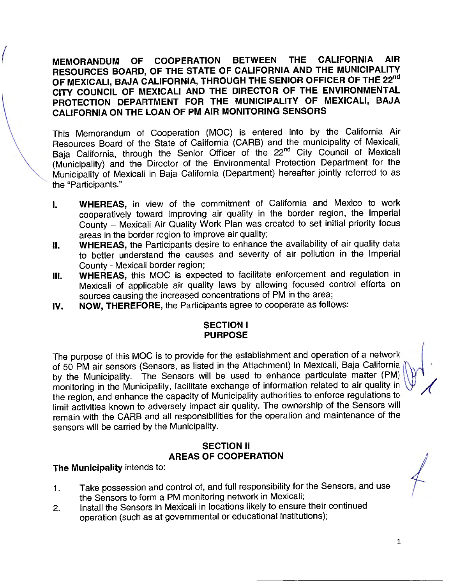( **MEMORANDUM OF COOPERATION BETWEEN THE CALIFORNIA AIR RESOURCES BOARD, OF THE STATE OF CALIFORNIA AND THE MUNICIPALITY OF MEXICALI, BAJA CALIFORNIA, THROUGH THE SENIOR OFFICER OF THE 22nd CITY COUNCIL OF MEXICALI AND THE DIRECTOR OF THE ENVIRONMENTAL PROTECTION DEPARTMENT FOR THE MUNICIPALITY OF MEXICALI, BAJA CALIFORNIA ON THE LOAN OF PM AIR MONITORING SENSORS** 

> This Memorandum of Cooperation (MOC) is entered into by the California Air Resources Board of the State of California (GARB) and the municipality of Mexicali, Baja California, through the Senior Officer of the 22<sup>nd</sup> City Council of Mexicali (Municipality) and the Director of the Environmental Protection Department for the Municipality of Mexicali in Baja California (Department) hereafter jointly referred to as the "Participants."

- I. **WHEREAS,** in view of the commitment of California and Mexico to work cooperatively toward improving air quality in the border region, the Imperial County - Mexicali Air Quality Work Plan was created to set initial priority focus areas in the border region to improve air quality;
- **II.** WHEREAS, the Participants desire to enhance the availability of air quality data to better understand the causes and severity of air pollution in the Imperial County - Mexicali border region;
- **Ill. WHEREAS,** this MOC is expected to facilitate enforcement and regulation in Mexicali of applicable air quality laws by allowing focused control efforts on sources causing the increased concentrations of PM in the area;
- **IV. NOW, THEREFORE,** the Participants agree to cooperate as follows:

## **SECTION** I **PURPOSE**

The purpose of this MOC is to provide for the establishment and operation of a network of 50 PM air sensors (Sensors, as listed in the Attachment) in Mexicali, Baja California by the Municipality. The Sensors will be used to enhance particulate matter (PM) monitoring in the Municipality, facilitate exchange of information related to air quality in the region, and enhance the capacity of Municipality authorities to enforce regulations to limit activities known to adversely impact air quality. The ownership of the Sensors will remain with the CARS and all responsibilities for the operation and maintenance of the sensors will be carried by the Municipality.

## **SECTION II AREAS OF COOPERATION**

## **The Municipality** intends to:

- 1. Take possession and control of, and full responsibility for the Sensors, and use the Sensors to form a PM monitoring network in Mexicali;
- 2. Install the Sensors in Mexicali in locations likely to ensure their continued operation (such as at governmental or educational institutions);

 $\overline{\mathcal{L}}$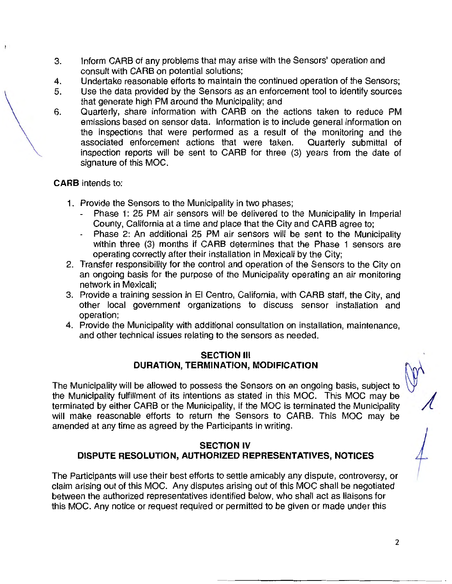- 3. Inform CARS of any problems that may arise with the Sensors' operation and consult with CARS on potential solutions;
- 4. Undertake reasonable efforts to maintain the continued operation of the Sensors;
- 5. Use the data provided by the Sensors as an enforcement tool to identify sources that generate high PM around the Municipality; and
- 6. Quarterly, share information with CARB on the actions taken to reduce PM emissions based on sensor data. Information is to include general information on the inspections that were performed as a result of the monitoring and the associated enforcement actions that were taken. Quarterly submittal of inspection reports will be sent to CARS for three (3) years from the date of signature of this MOC.

## **CARB** intends to:

- 1. Provide the Sensors to the Municipality in two phases;
	- Phase 1: 25 PM air sensors will be delivered to the Municipality in Imperial County, California at a time and place that the City and CARS agree to;
	- Phase 2: An additional 25 PM air sensors will be sent to the Municipality within three (3) months if GARB determines that the Phase 1 sensors are operating correctly after their installation in Mexicali by the City;
- 2. Transfer responsibility for the control and operation of the Sensors to the City on an ongoing basis for the purpose of the Municipality operating an air monitoring network in Mexicali;
- 3. Provide a training session in El Centro, California, with CARS staff, the City, and other local government organizations to discuss sensor installation and operation;
- 4. Provide the Municipality with additional consultation on installation, maintenance, and other technical issues relating to the sensors as needed.

## **SECTION** Ill **DURATION, TERMINATION, MODIFICATION**

The Municipality will be allowed to possess the Sensors on an ongoing basis, subject to the Municipality fulfillment of its intentions as stated in this MOC. This MOC may be terminated by either CARB or the Municipality, if the MOC is terminated the Municipality will make reasonable efforts to return the Sensors to GARB. This MOC may be amended at any time as agreed by the Participants in writing.

## **SECTION IV DISPUTE RESOLUTION, AUTHORIZED REPRESENTATIVES, NOTICES**

The Participants will use their best efforts to settle amicably any dispute, controversy, or claim arising out of this MOC. Any disputes arising out of this MOC shall be negotiated between the authorized representatives identified below, who shall act as liaisons for this MOC. Any notice or request required or permitted to be given or made under this

2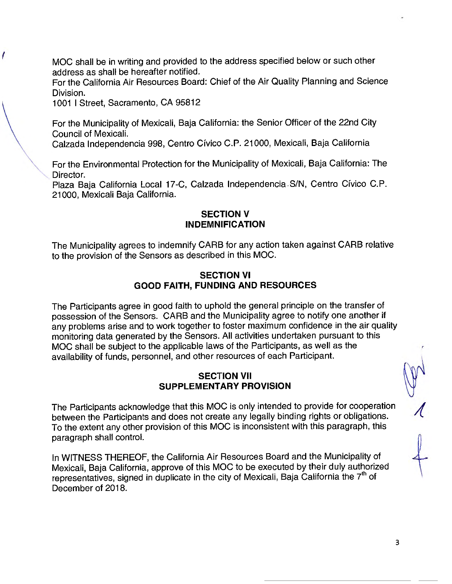MOC shall be in writing and provided to the address specified below or such other address as shall be hereafter notified.

For the California Air Resources Board: Chief of the Air Quality Planning and Science Division.

1001 I Street, Sacramento, CA 95812

For the Municipality of Mexicali, Baja California: the Senior Officer of the 22nd City Council of Mexicali.

Calzada lndependencia 998, Centro Cfvico C.P. 21000, Mexicali, Baja California

For the Environmental Protection for the Municipality of Mexicali, Baja California: The Director.

Plaza Baja California Local 17-C, Calzada lndependencia.S/N, Centro Cfvico C.P. 21000, Mexicali Baja California.

#### **SECTION V INDEMNIFICATION**

The Municipality agrees to indemnify CARS for any action taken against CARS relative to the provision of the Sensors as described in this MOC.

#### **SECTION VI GOOD FAITH, FUNDING AND RESOURCES**

The Participants agree in good faith to uphold the general principle on the transfer of possession of the Sensors. CARS and the Municipality agree to notify one another if any problems arise and to work together to foster maximum confidence in the air quality monitoring data generated by the Sensors. All activities undertaken pursuant to this MOC shall be subject to the applicable laws of the Participants, as well as the availability of funds, personnel, and other resources of each Participant.

#### **SECTION VII SUPPLEMENTARY PROVISION**

The Participants acknowledge that this MOC is only intended to provide for cooperation between the Participants and does not create any legally binding rights or obligations. To the extent any other provision of this MOC is inconsistent with this paragraph, this paragraph shall control.

In WITNESS THEREOF, the California Air Resources Board and the Municipality of Mexicali, Baja California, approve of this MOC to be executed by their duly authorized representatives, signed in duplicate in the city of Mexicali, Baja California the 7<sup>th</sup> of December of 2018.

 $\frac{1}{2}$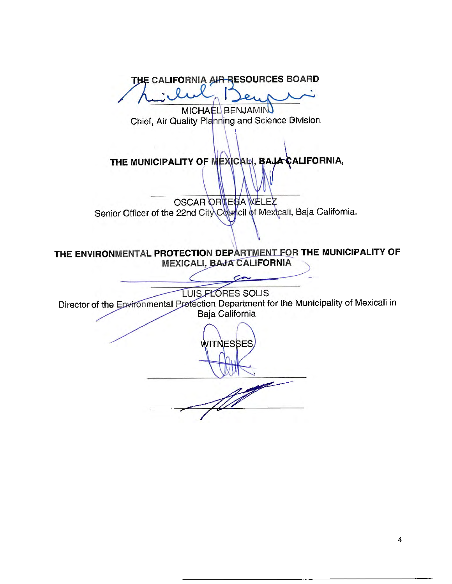THE CALIFORNIA AIR RESOURCES BOARD MICHAEL BENJAMIN Chief, Air Quality Planning and Science Division THE MUNICIPALITY OF MEXICAL BAJA CALIFORNIA, OSCAR ORWEGA VELEZ Senior Officer of the 22nd City Council of Mexicali, Baja California. THE ENVIRONMENTAL PROTECTION DEPARTMENT FOR THE MUNICIPALITY OF **MEXICALI, BAJA CALIFORNIA** com **LUIS FLORES SOLIS** Director of the Environmental Pretection Department for the Municipality of Mexicali in Baja California WITNESSES

 $\overline{4}$